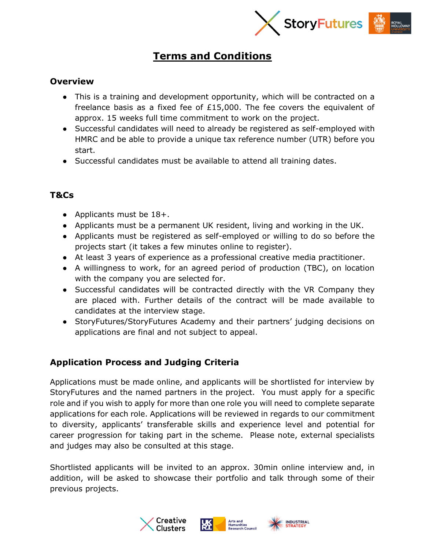

# **Terms and Conditions**

#### **Overview**

- This is a training and development opportunity, which will be contracted on a freelance basis as a fixed fee of £15,000. The fee covers the equivalent of approx. 15 weeks full time commitment to work on the project.
- Successful candidates will need to already be registered as self-employed with HMRC and be able to provide a unique tax reference number (UTR) before you start.
- Successful candidates must be available to attend all training dates.

### **T&Cs**

- Applicants must be 18+.
- Applicants must be a permanent UK resident, living and working in the UK.
- Applicants must be registered as self-employed or willing to do so before the projects start (it takes a few minutes online to register).
- At least 3 years of experience as a professional creative media practitioner.
- A willingness to work, for an agreed period of production (TBC), on location with the company you are selected for.
- Successful candidates will be contracted directly with the VR Company they are placed with. Further details of the contract will be made available to candidates at the interview stage.
- StoryFutures/StoryFutures Academy and their partners' judging decisions on applications are final and not subject to appeal.

## **Application Process and Judging Criteria**

Applications must be made online, and applicants will be shortlisted for interview by StoryFutures and the named partners in the project. You must apply for a specific role and if you wish to apply for more than one role you will need to complete separate applications for each role. Applications will be reviewed in regards to our commitment to diversity, applicants' transferable skills and experience level and potential for career progression for taking part in the scheme. Please note, external specialists and judges may also be consulted at this stage.

Shortlisted applicants will be invited to an approx. 30min online interview and, in addition, will be asked to showcase their portfolio and talk through some of their previous projects.